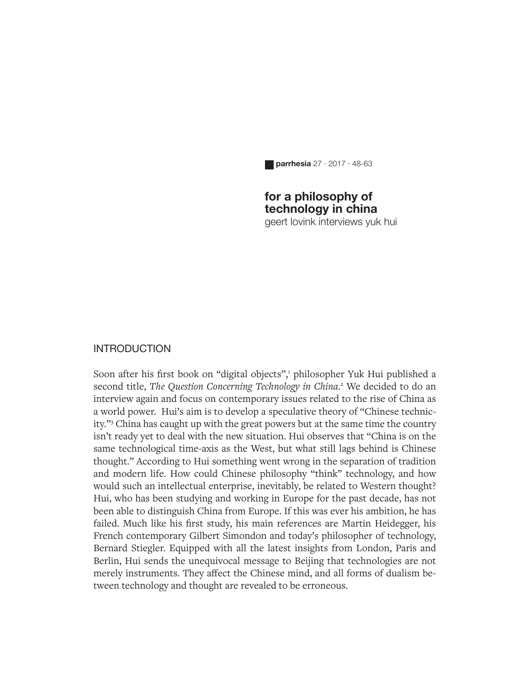**parrhesia** 27 · 2017 · 48-63

## **for a philosophy of technology in china**

geert lovink interviews yuk hui

## **INTRODUCTION**

Soon after his first book on "digital objects",<sup>1</sup> philosopher Yuk Hui published a second title, The Question Concerning Technology in China.<sup>2</sup> We decided to do an interview again and focus on contemporary issues related to the rise of China as a world power. Hui's aim is to develop a speculative theory of "Chinese technicity."3 China has caught up with the great powers but at the same time the country isn't ready yet to deal with the new situation. Hui observes that "China is on the same technological time-axis as the West, but what still lags behind is Chinese thought." According to Hui something went wrong in the separation of tradition and modern life. How could Chinese philosophy "think" technology, and how would such an intellectual enterprise, inevitably, be related to Western thought? Hui, who has been studying and working in Europe for the past decade, has not been able to distinguish China from Europe. If this was ever his ambition, he has failed. Much like his first study, his main references are Martin Heidegger, his French contemporary Gilbert Simondon and today's philosopher of technology, Bernard Stiegler. Equipped with all the latest insights from London, Paris and Berlin, Hui sends the unequivocal message to Beijing that technologies are not merely instruments. They affect the Chinese mind, and all forms of dualism between technology and thought are revealed to be erroneous.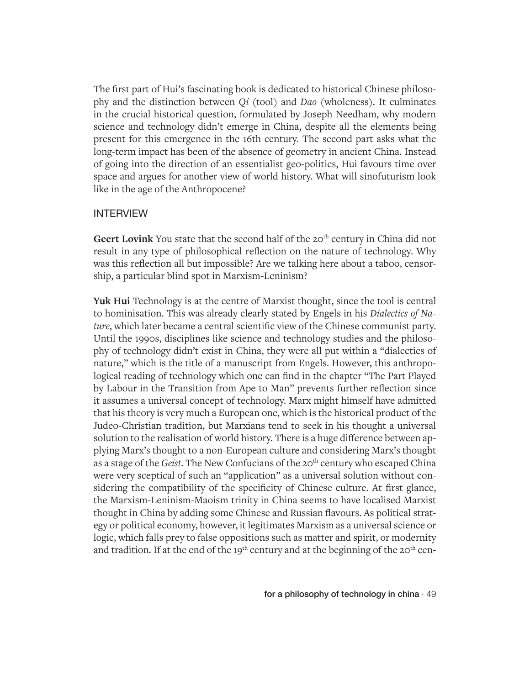The first part of Hui's fascinating book is dedicated to historical Chinese philosophy and the distinction between *Qi* (tool) and *Dao* (wholeness). It culminates in the crucial historical question, formulated by Joseph Needham, why modern science and technology didn't emerge in China, despite all the elements being present for this emergence in the 16th century. The second part asks what the long-term impact has been of the absence of geometry in ancient China. Instead of going into the direction of an essentialist geo-politics, Hui favours time over space and argues for another view of world history. What will sinofuturism look like in the age of the Anthropocene?

## INTERVIEW

Geert Lovink You state that the second half of the 20<sup>th</sup> century in China did not result in any type of philosophical reflection on the nature of technology. Why was this reflection all but impossible? Are we talking here about a taboo, censorship, a particular blind spot in Marxism-Leninism?

**Yuk Hui** Technology is at the centre of Marxist thought, since the tool is central to hominisation. This was already clearly stated by Engels in his *Dialectics of Nature*, which later became a central scientific view of the Chinese communist party. Until the 1990s, disciplines like science and technology studies and the philosophy of technology didn't exist in China, they were all put within a "dialectics of nature," which is the title of a manuscript from Engels. However, this anthropological reading of technology which one can find in the chapter "The Part Played by Labour in the Transition from Ape to Man" prevents further reflection since it assumes a universal concept of technology. Marx might himself have admitted that his theory is very much a European one, which is the historical product of the Judeo-Christian tradition, but Marxians tend to seek in his thought a universal solution to the realisation of world history. There is a huge difference between applying Marx's thought to a non-European culture and considering Marx's thought as a stage of the *Geist*. The New Confucians of the 20<sup>th</sup> century who escaped China were very sceptical of such an "application" as a universal solution without considering the compatibility of the specificity of Chinese culture. At first glance, the Marxism-Leninism-Maoism trinity in China seems to have localised Marxist thought in China by adding some Chinese and Russian flavours. As political strategy or political economy, however, it legitimates Marxism as a universal science or logic, which falls prey to false oppositions such as matter and spirit, or modernity and tradition. If at the end of the 19<sup>th</sup> century and at the beginning of the 20<sup>th</sup> cen-

for a philosophy of technology in china  $\cdot$  49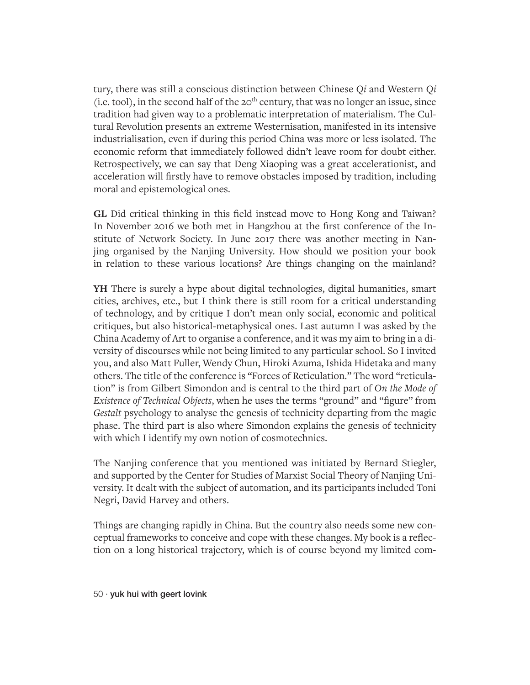tury, there was still a conscious distinction between Chinese *Qi* and Western *Qi* (i.e. tool), in the second half of the  $20<sup>th</sup>$  century, that was no longer an issue, since tradition had given way to a problematic interpretation of materialism. The Cultural Revolution presents an extreme Westernisation, manifested in its intensive industrialisation, even if during this period China was more or less isolated. The economic reform that immediately followed didn't leave room for doubt either. Retrospectively, we can say that Deng Xiaoping was a great accelerationist, and acceleration will firstly have to remove obstacles imposed by tradition, including moral and epistemological ones.

**GL** Did critical thinking in this field instead move to Hong Kong and Taiwan? In November 2016 we both met in Hangzhou at the first conference of the Institute of Network Society. In June 2017 there was another meeting in Nanjing organised by the Nanjing University. How should we position your book in relation to these various locations? Are things changing on the mainland?

**YH** There is surely a hype about digital technologies, digital humanities, smart cities, archives, etc., but I think there is still room for a critical understanding of technology, and by critique I don't mean only social, economic and political critiques, but also historical-metaphysical ones. Last autumn I was asked by the China Academy of Art to organise a conference, and it was my aim to bring in a diversity of discourses while not being limited to any particular school. So I invited you, and also Matt Fuller, Wendy Chun, Hiroki Azuma, Ishida Hidetaka and many others. The title of the conference is "Forces of Reticulation." The word "reticulation" is from Gilbert Simondon and is central to the third part of *On the Mode of Existence of Technical Objects*, when he uses the terms "ground" and "figure" from *Gestalt* psychology to analyse the genesis of technicity departing from the magic phase. The third part is also where Simondon explains the genesis of technicity with which I identify my own notion of cosmotechnics.

The Nanjing conference that you mentioned was initiated by Bernard Stiegler, and supported by the Center for Studies of Marxist Social Theory of Nanjing University. It dealt with the subject of automation, and its participants included Toni Negri, David Harvey and others.

Things are changing rapidly in China. But the country also needs some new conceptual frameworks to conceive and cope with these changes. My book is a reflection on a long historical trajectory, which is of course beyond my limited com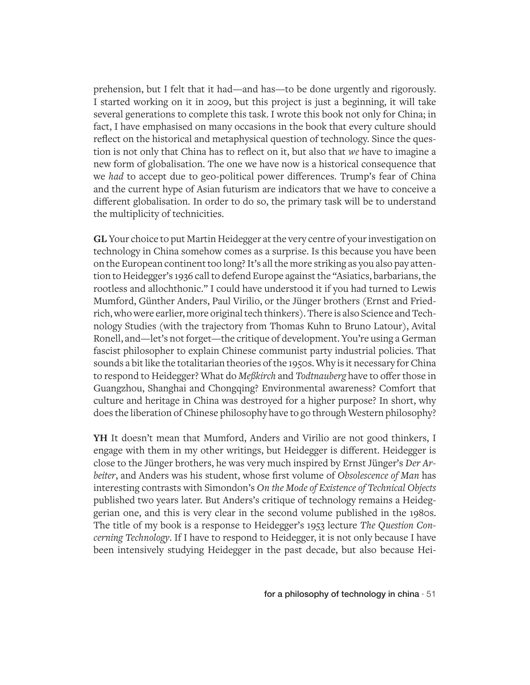prehension, but I felt that it had—and has—to be done urgently and rigorously. I started working on it in 2009, but this project is just a beginning, it will take several generations to complete this task. I wrote this book not only for China; in fact, I have emphasised on many occasions in the book that every culture should reflect on the historical and metaphysical question of technology. Since the question is not only that China has to reflect on it, but also that *we* have to imagine a new form of globalisation. The one we have now is a historical consequence that we *had* to accept due to geo-political power differences. Trump's fear of China and the current hype of Asian futurism are indicators that we have to conceive a different globalisation. In order to do so, the primary task will be to understand the multiplicity of technicities.

**GL** Your choice to put Martin Heidegger at the very centre of your investigation on technology in China somehow comes as a surprise. Is this because you have been on the European continent too long? It's all the more striking as you also pay attention to Heidegger's 1936 call to defend Europe against the "Asiatics, barbarians, the rootless and allochthonic." I could have understood it if you had turned to Lewis Mumford, Günther Anders, Paul Virilio, or the Jünger brothers (Ernst and Friedrich, who were earlier, more original tech thinkers). There is also Science and Technology Studies (with the trajectory from Thomas Kuhn to Bruno Latour), Avital Ronell, and—let's not forget—the critique of development. You're using a German fascist philosopher to explain Chinese communist party industrial policies. That sounds a bit like the totalitarian theories of the 1950s. Why is it necessary for China to respond to Heidegger? What do *Meßkirch* and *Todtnauberg* have to offer those in Guangzhou, Shanghai and Chongqing? Environmental awareness? Comfort that culture and heritage in China was destroyed for a higher purpose? In short, why does the liberation of Chinese philosophy have to go through Western philosophy?

**YH** It doesn't mean that Mumford, Anders and Virilio are not good thinkers, I engage with them in my other writings, but Heidegger is different. Heidegger is close to the Jünger brothers, he was very much inspired by Ernst Jünger's *Der Arbeiter*, and Anders was his student, whose first volume of *Obsolescence of Man* has interesting contrasts with Simondon's *On the Mode of Existence of Technical Objects* published two years later. But Anders's critique of technology remains a Heideggerian one, and this is very clear in the second volume published in the 1980s. The title of my book is a response to Heidegger's 1953 lecture *The Question Concerning Technology*. If I have to respond to Heidegger, it is not only because I have been intensively studying Heidegger in the past decade, but also because Hei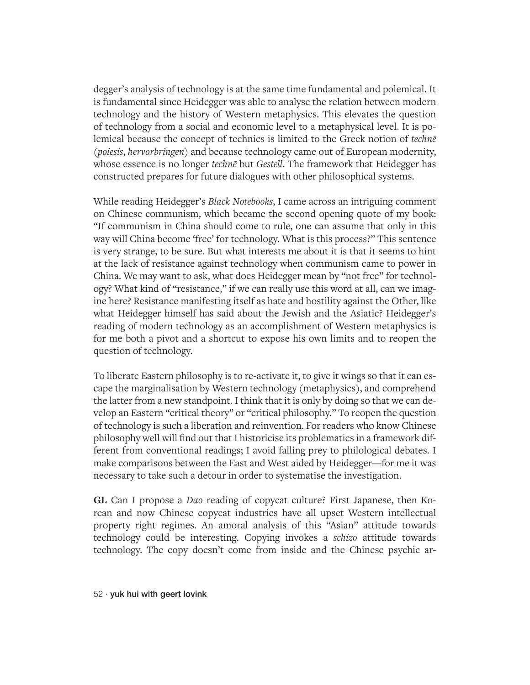degger's analysis of technology is at the same time fundamental and polemical. It is fundamental since Heidegger was able to analyse the relation between modern technology and the history of Western metaphysics. This elevates the question of technology from a social and economic level to a metaphysical level. It is polemical because the concept of technics is limited to the Greek notion of *technē* (*poiesis*, *hervorbringen*) and because technology came out of European modernity, whose essence is no longer *technē* but *Gestell*. The framework that Heidegger has constructed prepares for future dialogues with other philosophical systems.

While reading Heidegger's *Black Notebooks*, I came across an intriguing comment on Chinese communism, which became the second opening quote of my book: "If communism in China should come to rule, one can assume that only in this way will China become 'free' for technology. What is this process?" This sentence is very strange, to be sure. But what interests me about it is that it seems to hint at the lack of resistance against technology when communism came to power in China. We may want to ask, what does Heidegger mean by "not free" for technology? What kind of "resistance," if we can really use this word at all, can we imagine here? Resistance manifesting itself as hate and hostility against the Other, like what Heidegger himself has said about the Jewish and the Asiatic? Heidegger's reading of modern technology as an accomplishment of Western metaphysics is for me both a pivot and a shortcut to expose his own limits and to reopen the question of technology.

To liberate Eastern philosophy is to re-activate it, to give it wings so that it can escape the marginalisation by Western technology (metaphysics), and comprehend the latter from a new standpoint. I think that it is only by doing so that we can develop an Eastern "critical theory" or "critical philosophy." To reopen the question of technology is such a liberation and reinvention. For readers who know Chinese philosophy well will find out that I historicise its problematics in a framework different from conventional readings; I avoid falling prey to philological debates. I make comparisons between the East and West aided by Heidegger—for me it was necessary to take such a detour in order to systematise the investigation.

**GL** Can I propose a *Dao* reading of copycat culture? First Japanese, then Korean and now Chinese copycat industries have all upset Western intellectual property right regimes. An amoral analysis of this "Asian" attitude towards technology could be interesting. Copying invokes a *schizo* attitude towards technology. The copy doesn't come from inside and the Chinese psychic ar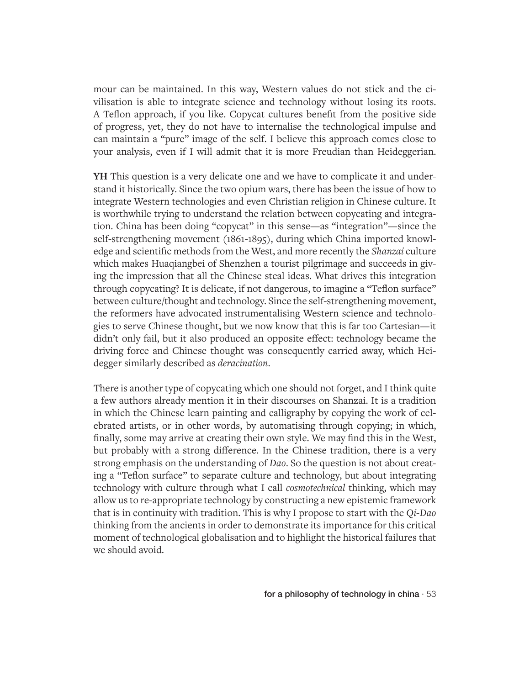mour can be maintained. In this way, Western values do not stick and the civilisation is able to integrate science and technology without losing its roots. A Teflon approach, if you like. Copycat cultures benefit from the positive side of progress, yet, they do not have to internalise the technological impulse and can maintain a "pure" image of the self. I believe this approach comes close to your analysis, even if I will admit that it is more Freudian than Heideggerian.

**YH** This question is a very delicate one and we have to complicate it and understand it historically. Since the two opium wars, there has been the issue of how to integrate Western technologies and even Christian religion in Chinese culture. It is worthwhile trying to understand the relation between copycating and integration. China has been doing "copycat" in this sense—as "integration"—since the self-strengthening movement (1861-1895), during which China imported knowledge and scientific methods from the West, and more recently the *Shanzai* culture which makes Huaqiangbei of Shenzhen a tourist pilgrimage and succeeds in giving the impression that all the Chinese steal ideas. What drives this integration through copycating? It is delicate, if not dangerous, to imagine a "Teflon surface" between culture/thought and technology. Since the self-strengthening movement, the reformers have advocated instrumentalising Western science and technologies to serve Chinese thought, but we now know that this is far too Cartesian—it didn't only fail, but it also produced an opposite effect: technology became the driving force and Chinese thought was consequently carried away, which Heidegger similarly described as *deracination*.

There is another type of copycating which one should not forget, and I think quite a few authors already mention it in their discourses on Shanzai. It is a tradition in which the Chinese learn painting and calligraphy by copying the work of celebrated artists, or in other words, by automatising through copying; in which, finally, some may arrive at creating their own style. We may find this in the West, but probably with a strong difference. In the Chinese tradition, there is a very strong emphasis on the understanding of *Dao*. So the question is not about creating a "Teflon surface" to separate culture and technology, but about integrating technology with culture through what I call *cosmotechnical* thinking, which may allow us to re-appropriate technology by constructing a new epistemic framework that is in continuity with tradition. This is why I propose to start with the *Qi-Dao* thinking from the ancients in order to demonstrate its importance for this critical moment of technological globalisation and to highlight the historical failures that we should avoid.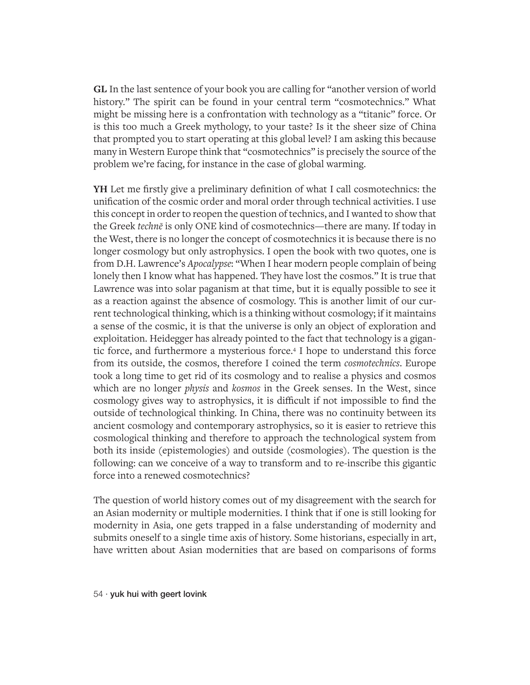**GL** In the last sentence of your book you are calling for "another version of world history." The spirit can be found in your central term "cosmotechnics." What might be missing here is a confrontation with technology as a "titanic" force. Or is this too much a Greek mythology, to your taste? Is it the sheer size of China that prompted you to start operating at this global level? I am asking this because many in Western Europe think that "cosmotechnics" is precisely the source of the problem we're facing, for instance in the case of global warming.

**YH** Let me firstly give a preliminary definition of what I call cosmotechnics: the unification of the cosmic order and moral order through technical activities. I use this concept in order to reopen the question of technics, and I wanted to show that the Greek *technē* is only ONE kind of cosmotechnics—there are many. If today in the West, there is no longer the concept of cosmotechnics it is because there is no longer cosmology but only astrophysics. I open the book with two quotes, one is from D.H. Lawrence's *Apocalypse*: "When I hear modern people complain of being lonely then I know what has happened. They have lost the cosmos." It is true that Lawrence was into solar paganism at that time, but it is equally possible to see it as a reaction against the absence of cosmology. This is another limit of our current technological thinking, which is a thinking without cosmology; if it maintains a sense of the cosmic, it is that the universe is only an object of exploration and exploitation. Heidegger has already pointed to the fact that technology is a gigantic force, and furthermore a mysterious force.<sup>4</sup> I hope to understand this force from its outside, the cosmos, therefore I coined the term *cosmotechnics*. Europe took a long time to get rid of its cosmology and to realise a physics and cosmos which are no longer *physis* and *kosmos* in the Greek senses. In the West, since cosmology gives way to astrophysics, it is difficult if not impossible to find the outside of technological thinking. In China, there was no continuity between its ancient cosmology and contemporary astrophysics, so it is easier to retrieve this cosmological thinking and therefore to approach the technological system from both its inside (epistemologies) and outside (cosmologies). The question is the following: can we conceive of a way to transform and to re-inscribe this gigantic force into a renewed cosmotechnics?

The question of world history comes out of my disagreement with the search for an Asian modernity or multiple modernities. I think that if one is still looking for modernity in Asia, one gets trapped in a false understanding of modernity and submits oneself to a single time axis of history. Some historians, especially in art, have written about Asian modernities that are based on comparisons of forms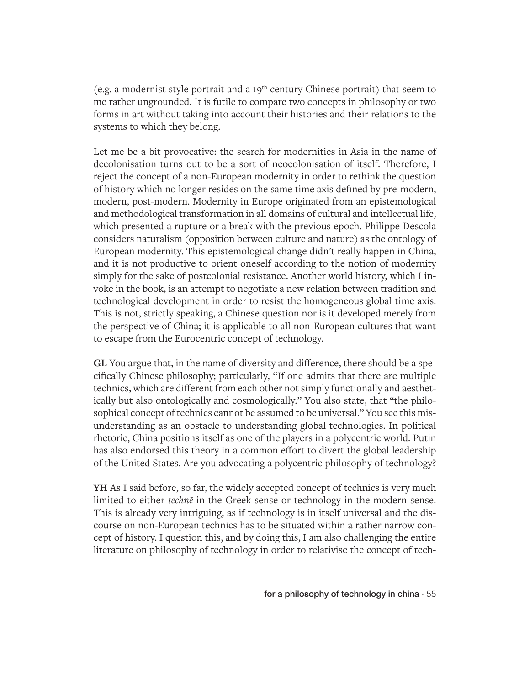(e.g. a modernist style portrait and a  $19<sup>th</sup>$  century Chinese portrait) that seem to me rather ungrounded. It is futile to compare two concepts in philosophy or two forms in art without taking into account their histories and their relations to the systems to which they belong.

Let me be a bit provocative: the search for modernities in Asia in the name of decolonisation turns out to be a sort of neocolonisation of itself. Therefore, I reject the concept of a non-European modernity in order to rethink the question of history which no longer resides on the same time axis defined by pre-modern, modern, post-modern. Modernity in Europe originated from an epistemological and methodological transformation in all domains of cultural and intellectual life, which presented a rupture or a break with the previous epoch. Philippe Descola considers naturalism (opposition between culture and nature) as the ontology of European modernity. This epistemological change didn't really happen in China, and it is not productive to orient oneself according to the notion of modernity simply for the sake of postcolonial resistance. Another world history, which I invoke in the book, is an attempt to negotiate a new relation between tradition and technological development in order to resist the homogeneous global time axis. This is not, strictly speaking, a Chinese question nor is it developed merely from the perspective of China; it is applicable to all non-European cultures that want to escape from the Eurocentric concept of technology.

**GL** You argue that, in the name of diversity and difference, there should be a specifically Chinese philosophy; particularly, "If one admits that there are multiple technics, which are different from each other not simply functionally and aesthetically but also ontologically and cosmologically." You also state, that "the philosophical concept of technics cannot be assumed to be universal." You see this misunderstanding as an obstacle to understanding global technologies. In political rhetoric, China positions itself as one of the players in a polycentric world. Putin has also endorsed this theory in a common effort to divert the global leadership of the United States. Are you advocating a polycentric philosophy of technology?

**YH** As I said before, so far, the widely accepted concept of technics is very much limited to either *technē* in the Greek sense or technology in the modern sense. This is already very intriguing, as if technology is in itself universal and the discourse on non-European technics has to be situated within a rather narrow concept of history. I question this, and by doing this, I am also challenging the entire literature on philosophy of technology in order to relativise the concept of tech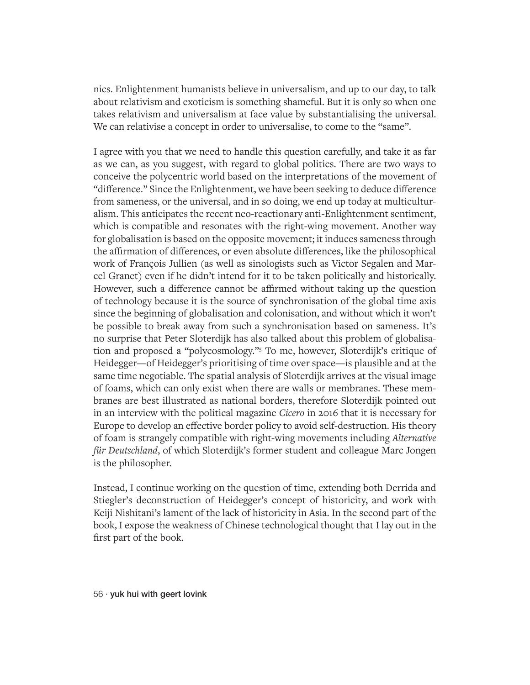nics. Enlightenment humanists believe in universalism, and up to our day, to talk about relativism and exoticism is something shameful. But it is only so when one takes relativism and universalism at face value by substantialising the universal. We can relativise a concept in order to universalise, to come to the "same".

I agree with you that we need to handle this question carefully, and take it as far as we can, as you suggest, with regard to global politics. There are two ways to conceive the polycentric world based on the interpretations of the movement of "difference." Since the Enlightenment, we have been seeking to deduce difference from sameness, or the universal, and in so doing, we end up today at multiculturalism. This anticipates the recent neo-reactionary anti-Enlightenment sentiment, which is compatible and resonates with the right-wing movement. Another way for globalisation is based on the opposite movement; it induces sameness through the affirmation of differences, or even absolute differences, like the philosophical work of François Jullien (as well as sinologists such as Victor Segalen and Marcel Granet) even if he didn't intend for it to be taken politically and historically. However, such a difference cannot be affirmed without taking up the question of technology because it is the source of synchronisation of the global time axis since the beginning of globalisation and colonisation, and without which it won't be possible to break away from such a synchronisation based on sameness. It's no surprise that Peter Sloterdijk has also talked about this problem of globalisation and proposed a "polycosmology."5 To me, however, Sloterdijk's critique of Heidegger—of Heidegger's prioritising of time over space—is plausible and at the same time negotiable. The spatial analysis of Sloterdijk arrives at the visual image of foams, which can only exist when there are walls or membranes. These membranes are best illustrated as national borders, therefore Sloterdijk pointed out in an interview with the political magazine *Cicero* in 2016 that it is necessary for Europe to develop an effective border policy to avoid self-destruction. His theory of foam is strangely compatible with right-wing movements including *Alternative für Deutschland*, of which Sloterdijk's former student and colleague Marc Jongen is the philosopher.

Instead, I continue working on the question of time, extending both Derrida and Stiegler's deconstruction of Heidegger's concept of historicity, and work with Keiji Nishitani's lament of the lack of historicity in Asia. In the second part of the book, I expose the weakness of Chinese technological thought that I lay out in the first part of the book.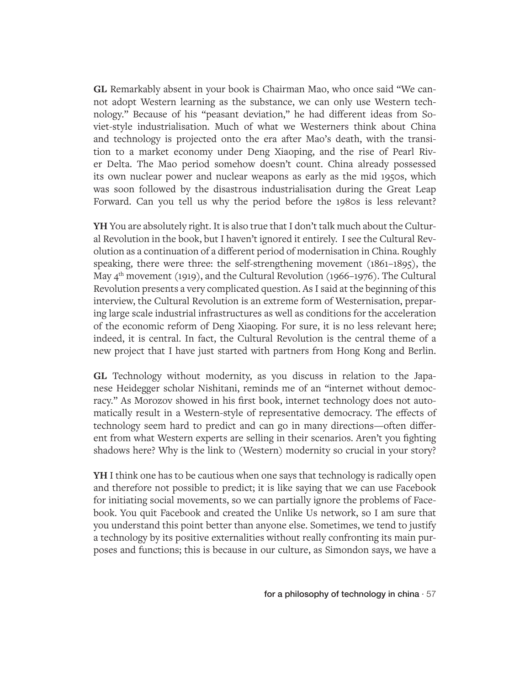**GL** Remarkably absent in your book is Chairman Mao, who once said "We cannot adopt Western learning as the substance, we can only use Western technology." Because of his "peasant deviation," he had different ideas from Soviet-style industrialisation. Much of what we Westerners think about China and technology is projected onto the era after Mao's death, with the transition to a market economy under Deng Xiaoping, and the rise of Pearl River Delta. The Mao period somehow doesn't count. China already possessed its own nuclear power and nuclear weapons as early as the mid 1950s, which was soon followed by the disastrous industrialisation during the Great Leap Forward. Can you tell us why the period before the 1980s is less relevant?

**YH** You are absolutely right. It is also true that I don't talk much about the Cultural Revolution in the book, but I haven't ignored it entirely. I see the Cultural Revolution as a continuation of a different period of modernisation in China. Roughly speaking, there were three: the self-strengthening movement (1861–1895), the May  $4<sup>th</sup>$  movement (1919), and the Cultural Revolution (1966–1976). The Cultural Revolution presents a very complicated question. As I said at the beginning of this interview, the Cultural Revolution is an extreme form of Westernisation, preparing large scale industrial infrastructures as well as conditions for the acceleration of the economic reform of Deng Xiaoping. For sure, it is no less relevant here; indeed, it is central. In fact, the Cultural Revolution is the central theme of a new project that I have just started with partners from Hong Kong and Berlin.

**GL** Technology without modernity, as you discuss in relation to the Japanese Heidegger scholar Nishitani, reminds me of an "internet without democracy." As Morozov showed in his first book, internet technology does not automatically result in a Western-style of representative democracy. The effects of technology seem hard to predict and can go in many directions—often different from what Western experts are selling in their scenarios. Aren't you fighting shadows here? Why is the link to (Western) modernity so crucial in your story?

**YH** I think one has to be cautious when one says that technology is radically open and therefore not possible to predict; it is like saying that we can use Facebook for initiating social movements, so we can partially ignore the problems of Facebook. You quit Facebook and created the Unlike Us network, so I am sure that you understand this point better than anyone else. Sometimes, we tend to justify a technology by its positive externalities without really confronting its main purposes and functions; this is because in our culture, as Simondon says, we have a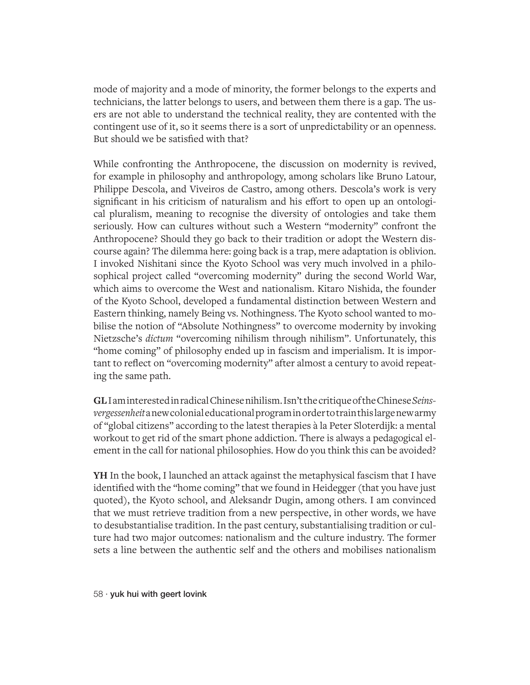mode of majority and a mode of minority, the former belongs to the experts and technicians, the latter belongs to users, and between them there is a gap. The users are not able to understand the technical reality, they are contented with the contingent use of it, so it seems there is a sort of unpredictability or an openness. But should we be satisfied with that?

While confronting the Anthropocene, the discussion on modernity is revived, for example in philosophy and anthropology, among scholars like Bruno Latour, Philippe Descola, and Viveiros de Castro, among others. Descola's work is very significant in his criticism of naturalism and his effort to open up an ontological pluralism, meaning to recognise the diversity of ontologies and take them seriously. How can cultures without such a Western "modernity" confront the Anthropocene? Should they go back to their tradition or adopt the Western discourse again? The dilemma here: going back is a trap, mere adaptation is oblivion. I invoked Nishitani since the Kyoto School was very much involved in a philosophical project called "overcoming modernity" during the second World War, which aims to overcome the West and nationalism. Kitaro Nishida, the founder of the Kyoto School, developed a fundamental distinction between Western and Eastern thinking, namely Being vs. Nothingness. The Kyoto school wanted to mobilise the notion of "Absolute Nothingness" to overcome modernity by invoking Nietzsche's *dictum* "overcoming nihilism through nihilism". Unfortunately, this "home coming" of philosophy ended up in fascism and imperialism. It is important to reflect on "overcoming modernity" after almost a century to avoid repeating the same path.

**GL** I am interested in radical Chinese nihilism. Isn't the critique of the Chinese *Seinsvergessenheit* a new colonial educational program in order to train this large new army of "global citizens" according to the latest therapies à la Peter Sloterdijk: a mental workout to get rid of the smart phone addiction. There is always a pedagogical element in the call for national philosophies. How do you think this can be avoided?

**YH** In the book, I launched an attack against the metaphysical fascism that I have identified with the "home coming" that we found in Heidegger (that you have just quoted), the Kyoto school, and Aleksandr Dugin, among others. I am convinced that we must retrieve tradition from a new perspective, in other words, we have to desubstantialise tradition. In the past century, substantialising tradition or culture had two major outcomes: nationalism and the culture industry. The former sets a line between the authentic self and the others and mobilises nationalism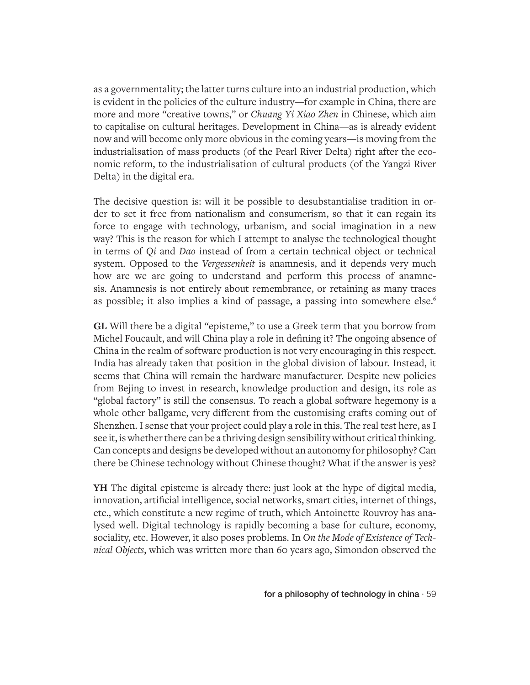as a governmentality; the latter turns culture into an industrial production, which is evident in the policies of the culture industry—for example in China, there are more and more "creative towns," or *Chuang Yi Xiao Zhen* in Chinese, which aim to capitalise on cultural heritages. Development in China—as is already evident now and will become only more obvious in the coming years—is moving from the industrialisation of mass products (of the Pearl River Delta) right after the economic reform, to the industrialisation of cultural products (of the Yangzi River Delta) in the digital era.

The decisive question is: will it be possible to desubstantialise tradition in order to set it free from nationalism and consumerism, so that it can regain its force to engage with technology, urbanism, and social imagination in a new way? This is the reason for which I attempt to analyse the technological thought in terms of *Qi* and *Dao* instead of from a certain technical object or technical system. Opposed to the *Vergessenheit* is anamnesis, and it depends very much how are we are going to understand and perform this process of anamnesis. Anamnesis is not entirely about remembrance, or retaining as many traces as possible; it also implies a kind of passage, a passing into somewhere else.<sup>6</sup>

**GL** Will there be a digital "episteme," to use a Greek term that you borrow from Michel Foucault, and will China play a role in defining it? The ongoing absence of China in the realm of software production is not very encouraging in this respect. India has already taken that position in the global division of labour. Instead, it seems that China will remain the hardware manufacturer. Despite new policies from Bejing to invest in research, knowledge production and design, its role as "global factory" is still the consensus. To reach a global software hegemony is a whole other ballgame, very different from the customising crafts coming out of Shenzhen. I sense that your project could play a role in this. The real test here, as I see it, is whether there can be a thriving design sensibility without critical thinking. Can concepts and designs be developed without an autonomy for philosophy? Can there be Chinese technology without Chinese thought? What if the answer is yes?

**YH** The digital episteme is already there: just look at the hype of digital media, innovation, artificial intelligence, social networks, smart cities, internet of things, etc., which constitute a new regime of truth, which Antoinette Rouvroy has analysed well. Digital technology is rapidly becoming a base for culture, economy, sociality, etc. However, it also poses problems. In *On the Mode of Existence of Technical Objects*, which was written more than 60 years ago, Simondon observed the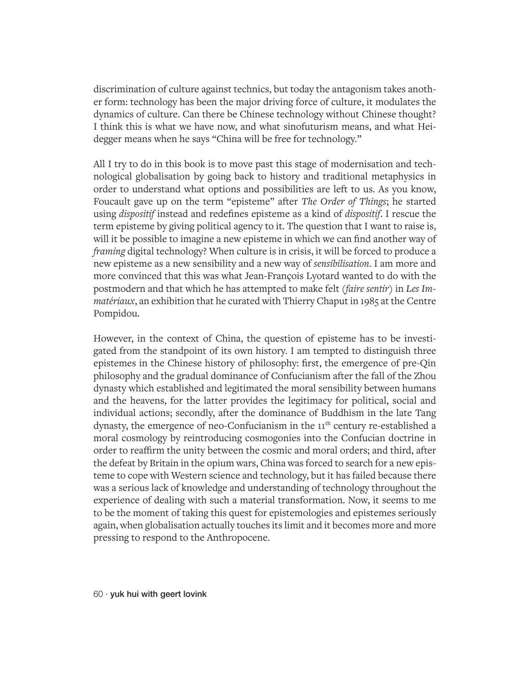discrimination of culture against technics, but today the antagonism takes another form: technology has been the major driving force of culture, it modulates the dynamics of culture. Can there be Chinese technology without Chinese thought? I think this is what we have now, and what sinofuturism means, and what Heidegger means when he says "China will be free for technology."

All I try to do in this book is to move past this stage of modernisation and technological globalisation by going back to history and traditional metaphysics in order to understand what options and possibilities are left to us. As you know, Foucault gave up on the term "episteme" after *The Order of Things*; he started using *dispositif* instead and redefines episteme as a kind of *dispositif*. I rescue the term episteme by giving political agency to it. The question that I want to raise is, will it be possible to imagine a new episteme in which we can find another way of *framing* digital technology? When culture is in crisis, it will be forced to produce a new episteme as a new sensibility and a new way of *sensibilisation*. I am more and more convinced that this was what Jean-François Lyotard wanted to do with the postmodern and that which he has attempted to make felt (*faire sentir*) in *Les Immatériaux*, an exhibition that he curated with Thierry Chaput in 1985 at the Centre Pompidou.

However, in the context of China, the question of episteme has to be investigated from the standpoint of its own history. I am tempted to distinguish three epistemes in the Chinese history of philosophy: first, the emergence of pre-Qin philosophy and the gradual dominance of Confucianism after the fall of the Zhou dynasty which established and legitimated the moral sensibility between humans and the heavens, for the latter provides the legitimacy for political, social and individual actions; secondly, after the dominance of Buddhism in the late Tang dynasty, the emergence of neo-Confucianism in the 11<sup>th</sup> century re-established a moral cosmology by reintroducing cosmogonies into the Confucian doctrine in order to reaffirm the unity between the cosmic and moral orders; and third, after the defeat by Britain in the opium wars, China was forced to search for a new episteme to cope with Western science and technology, but it has failed because there was a serious lack of knowledge and understanding of technology throughout the experience of dealing with such a material transformation. Now, it seems to me to be the moment of taking this quest for epistemologies and epistemes seriously again, when globalisation actually touches its limit and it becomes more and more pressing to respond to the Anthropocene.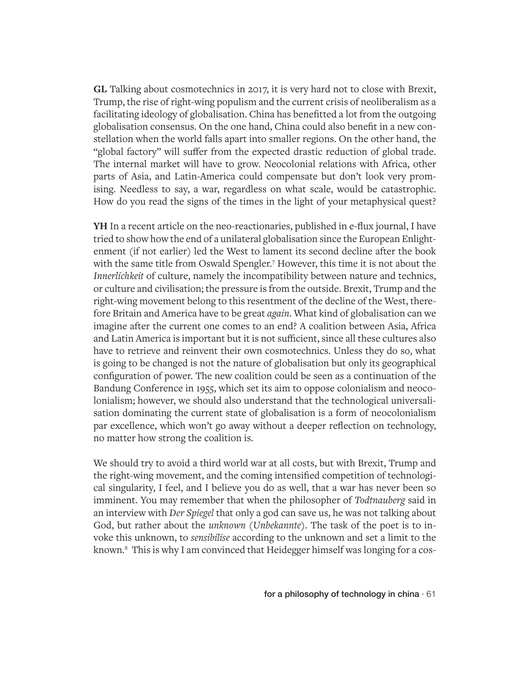**GL** Talking about cosmotechnics in 2017, it is very hard not to close with Brexit, Trump, the rise of right-wing populism and the current crisis of neoliberalism as a facilitating ideology of globalisation. China has benefitted a lot from the outgoing globalisation consensus. On the one hand, China could also benefit in a new constellation when the world falls apart into smaller regions. On the other hand, the "global factory" will suffer from the expected drastic reduction of global trade. The internal market will have to grow. Neocolonial relations with Africa, other parts of Asia, and Latin-America could compensate but don't look very promising. Needless to say, a war, regardless on what scale, would be catastrophic. How do you read the signs of the times in the light of your metaphysical quest?

**YH** In a recent article on the neo-reactionaries, published in e-flux journal, I have tried to show how the end of a unilateral globalisation since the European Enlightenment (if not earlier) led the West to lament its second decline after the book with the same title from Oswald Spengler.7 However, this time it is not about the *Innerlichkeit* of culture, namely the incompatibility between nature and technics, or culture and civilisation; the pressure is from the outside. Brexit, Trump and the right-wing movement belong to this resentment of the decline of the West, therefore Britain and America have to be great *again*. What kind of globalisation can we imagine after the current one comes to an end? A coalition between Asia, Africa and Latin America is important but it is not sufficient, since all these cultures also have to retrieve and reinvent their own cosmotechnics. Unless they do so, what is going to be changed is not the nature of globalisation but only its geographical configuration of power. The new coalition could be seen as a continuation of the Bandung Conference in 1955, which set its aim to oppose colonialism and neocolonialism; however, we should also understand that the technological universalisation dominating the current state of globalisation is a form of neocolonialism par excellence, which won't go away without a deeper reflection on technology, no matter how strong the coalition is.

We should try to avoid a third world war at all costs, but with Brexit, Trump and the right-wing movement, and the coming intensified competition of technological singularity, I feel, and I believe you do as well, that a war has never been so imminent. You may remember that when the philosopher of *Todtnauberg* said in an interview with *Der Spiegel* that only a god can save us, he was not talking about God, but rather about the *unknown* (*Unbekannte*). The task of the poet is to invoke this unknown, to *sensibilise* according to the unknown and set a limit to the known.8 This is why I am convinced that Heidegger himself was longing for a cos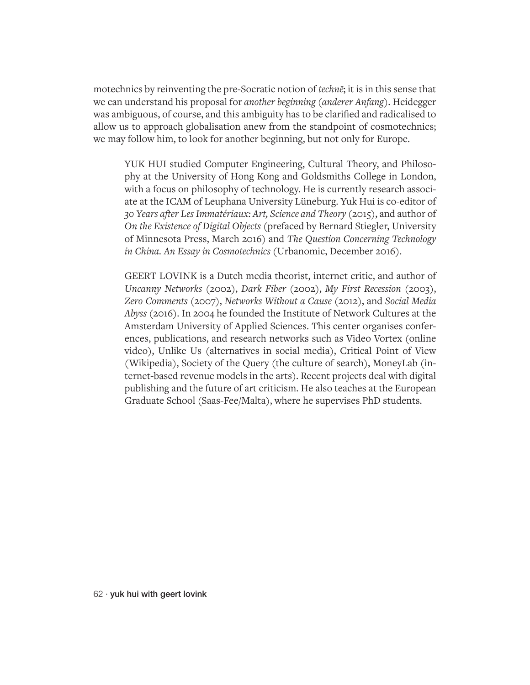motechnics by reinventing the pre-Socratic notion of *technē*; it is in this sense that we can understand his proposal for *another beginning* (*anderer Anfang*). Heidegger was ambiguous, of course, and this ambiguity has to be clarified and radicalised to allow us to approach globalisation anew from the standpoint of cosmotechnics; we may follow him, to look for another beginning, but not only for Europe.

YUK HUI studied Computer Engineering, Cultural Theory, and Philosophy at the University of Hong Kong and Goldsmiths College in London, with a focus on philosophy of technology. He is currently research associate at the ICAM of Leuphana University Lüneburg. Yuk Hui is co-editor of *30 Years after Les Immatériaux: Art, Science and Theory* (2015), and author of *On the Existence of Digital Objects* (prefaced by Bernard Stiegler, University of Minnesota Press, March 2016) and *The Question Concerning Technology in China. An Essay in Cosmotechnics* (Urbanomic, December 2016).

GEERT LOVINK is a Dutch media theorist, internet critic, and author of *Uncanny Networks* (2002), *Dark Fiber* (2002), *My First Recession* (2003), *Zero Comments* (2007), *Networks Without a Cause* (2012), and *Social Media Abyss* (2016). In 2004 he founded the Institute of Network Cultures at the Amsterdam University of Applied Sciences. This center organises conferences, publications, and research networks such as Video Vortex (online video), Unlike Us (alternatives in social media), Critical Point of View (Wikipedia), Society of the Query (the culture of search), MoneyLab (internet-based revenue models in the arts). Recent projects deal with digital publishing and the future of art criticism. He also teaches at the European Graduate School (Saas-Fee/Malta), where he supervises PhD students.